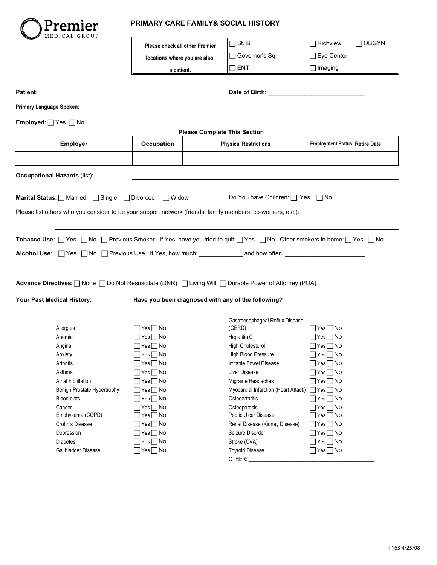

## **PRIMARY CARE FAMILY& SOCIAL HISTORY**

| MEDICAL GROUP                                                                                                          |                                                                              |                                     |                                                    |                                      |              |
|------------------------------------------------------------------------------------------------------------------------|------------------------------------------------------------------------------|-------------------------------------|----------------------------------------------------|--------------------------------------|--------------|
|                                                                                                                        | Please check all other Premier<br>locations where you are also<br>a patient. |                                     | St. B                                              | Richview                             | $\Box$ OBGYN |
|                                                                                                                        |                                                                              |                                     | Governor's Sq                                      | Eye Center                           |              |
|                                                                                                                        |                                                                              |                                     | $\Box$ ENT                                         |                                      |              |
|                                                                                                                        |                                                                              |                                     |                                                    | $\Box$ Imaging                       |              |
|                                                                                                                        |                                                                              |                                     |                                                    |                                      |              |
| Patient:                                                                                                               |                                                                              |                                     |                                                    |                                      |              |
| Primary Language Spoken:                                                                                               |                                                                              |                                     |                                                    |                                      |              |
| Employed: Ves aNo                                                                                                      |                                                                              |                                     |                                                    |                                      |              |
|                                                                                                                        |                                                                              | <b>Please Complete This Section</b> |                                                    |                                      |              |
| Employer                                                                                                               | Occupation                                                                   |                                     | <b>Physical Restrictions</b>                       | <b>Employment Status Retire Date</b> |              |
|                                                                                                                        |                                                                              |                                     |                                                    |                                      |              |
|                                                                                                                        |                                                                              |                                     |                                                    |                                      |              |
| <b>Occupational Hazards (list):</b>                                                                                    |                                                                              |                                     |                                                    |                                      |              |
|                                                                                                                        |                                                                              |                                     |                                                    |                                      |              |
|                                                                                                                        |                                                                              |                                     |                                                    |                                      |              |
| Marital Status: Married Single Divorced Widow                                                                          |                                                                              |                                     | Do You have Children:   Yes   No                   |                                      |              |
| Please list others who you consider to be your support network (friends, family members, co-workers, etc.):            |                                                                              |                                     |                                                    |                                      |              |
|                                                                                                                        |                                                                              |                                     |                                                    |                                      |              |
|                                                                                                                        |                                                                              |                                     |                                                    |                                      |              |
| Tobacco Use: □ Yes □ No □ Previous Smoker. If Yes, have you tried to quit:□ Yes □ No. Other smokers in home:□ Yes □ No |                                                                              |                                     |                                                    |                                      |              |
| Alcohol Use: □ Yes □ No □ Previous Use. If Yes, how much: ________________ and how often: ________                     |                                                                              |                                     |                                                    |                                      |              |
|                                                                                                                        |                                                                              |                                     |                                                    |                                      |              |
|                                                                                                                        |                                                                              |                                     |                                                    |                                      |              |
| Advance Directives:   None   Do Not Resuscitate (DNR)   Living Will   Durable Power of Attorney (POA)                  |                                                                              |                                     |                                                    |                                      |              |
|                                                                                                                        |                                                                              |                                     |                                                    |                                      |              |
| Your Past Medical History:                                                                                             |                                                                              |                                     | Have you been diagnosed with any of the following? |                                      |              |
|                                                                                                                        |                                                                              |                                     |                                                    |                                      |              |
|                                                                                                                        |                                                                              |                                     | Gastroesophageal Reflux Disease                    |                                      |              |
| Allergies                                                                                                              | $\Box$ Yes $\Box$ No                                                         |                                     | (GERD)                                             | $\Box$ Yes $\Box$ No                 |              |
| Anemia                                                                                                                 | $\Box$ Yes $\Box$ No                                                         |                                     | <b>Hepatitis C</b>                                 | $\Box$ Yes $\Box$ No                 |              |
| Angina                                                                                                                 | $\Box$ Yes $\Box$ No                                                         |                                     | <b>High Cholesterol</b>                            | $\Box$ Yes $\Box$ No                 |              |
| Anxiety                                                                                                                | $\Box$ Yes $\Box$ No                                                         |                                     | <b>High Blood Pressure</b>                         | $\Box$ Yes $\Box$ No                 |              |
| Arthritis                                                                                                              | $\Box$ Yes $\Box$ No                                                         |                                     | Irritable Bowel Disease                            | $\Box$ Yes $\Box$ No                 |              |
| Asthma                                                                                                                 | $\Box$ Yes $\Box$ No                                                         |                                     | Liver Disease                                      | $\exists$ Yes $\Box$ No              |              |
| <b>Atrial Fibrillation</b>                                                                                             | $\Box$ Yes $\Box$ No                                                         |                                     | Migraine Headaches                                 | $\exists$ Yes $\Box$ No              |              |
| Benign Prostate Hypertrophy                                                                                            | $\Box$ Yes $\Box$ No                                                         |                                     | Myocardial Infarction (Heart Attack)               | $\Box$ Yes $\Box$ No                 |              |
| Blood clots                                                                                                            | $\exists$ Yes $\Box$ No                                                      |                                     | Osteoarthritis                                     | $\Box$ Yes $\Box$ No                 |              |
| Cancer                                                                                                                 | $\Box$ Yes $\Box$ No                                                         |                                     | Osteoporosis                                       | $7$ Yes $\Box$ No                    |              |
| Emphysema (COPD)                                                                                                       | $\exists$ Yes $\Box$ No                                                      |                                     | Peptic Ulcer Disease                               | $\exists$ Yes $\Box$ No              |              |
| Crohn's Disease                                                                                                        | $\Box$ Yes $\Box$ No                                                         |                                     | Renal Disease (Kidney Disease)                     | $\Box$ Yes $\Box$ No                 |              |
| Depression                                                                                                             | $\bigcap$ Yes $\bigcap$ No                                                   |                                     | Seizure Disorder                                   | $\Box$ Yes $\Box$ No                 |              |
| <b>Diabetes</b>                                                                                                        | $\bigcap$ Yes $\bigcap$ No                                                   |                                     | Stroke (CVA)                                       | $\Box$ Yes $\Box$ No                 |              |
| Gallbladder Disease                                                                                                    | $\Box$ Yes $\Box$ No                                                         |                                     | <b>Thyroid Disease</b>                             | $\Box$ Yes $\Box$ No                 |              |
|                                                                                                                        |                                                                              |                                     | OTHER:                                             |                                      |              |